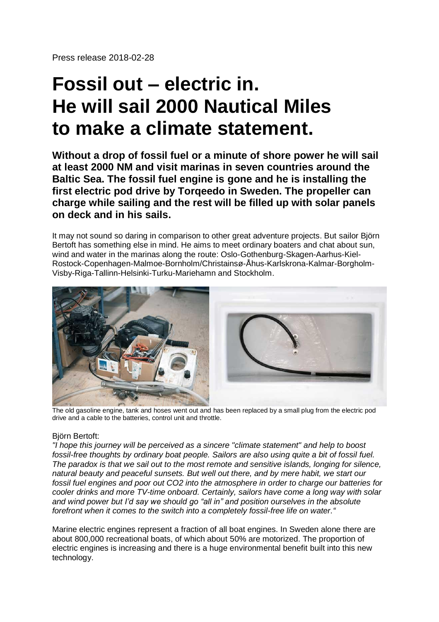Press release 2018-02-28

# **Fossil out – electric in. He will sail 2000 Nautical Miles to make a climate statement.**

**Without a drop of fossil fuel or a minute of shore power he will sail at least 2000 NM and visit marinas in seven countries around the Baltic Sea. The fossil fuel engine is gone and he is installing the first electric pod drive by Torqeedo in Sweden. The propeller can charge while sailing and the rest will be filled up with solar panels on deck and in his sails.**

It may not sound so daring in comparison to other great adventure projects. But sailor Björn Bertoft has something else in mind. He aims to meet ordinary boaters and chat about sun, wind and water in the marinas along the route: Oslo-Gothenburg-Skagen-Aarhus-Kiel-Rostock-Copenhagen-Malmoe-Bornholm/Christainsø-Åhus-Karlskrona-Kalmar-Borgholm-Visby-Riga-Tallinn-Helsinki-Turku-Mariehamn and Stockholm.



The old gasoline engine, tank and hoses went out and has been replaced by a small plug from the electric pod drive and a cable to the batteries, control unit and throttle.

### Björn Bertoft:

*"I hope this journey will be perceived as a sincere "climate statement" and help to boost fossil-free thoughts by ordinary boat people. Sailors are also using quite a bit of fossil fuel. The paradox is that we sail out to the most remote and sensitive islands, longing for silence, natural beauty and peaceful sunsets. But well out there, and by mere habit, we start our fossil fuel engines and poor out CO2 into the atmosphere in order to charge our batteries for cooler drinks and more TV-time onboard. Certainly, sailors have come a long way with solar and wind power but I'd say we should go "all in" and position ourselves in the absolute forefront when it comes to the switch into a completely fossil-free life on water."*

Marine electric engines represent a fraction of all boat engines. In Sweden alone there are about 800,000 recreational boats, of which about 50% are motorized. The proportion of electric engines is increasing and there is a huge environmental benefit built into this new technology.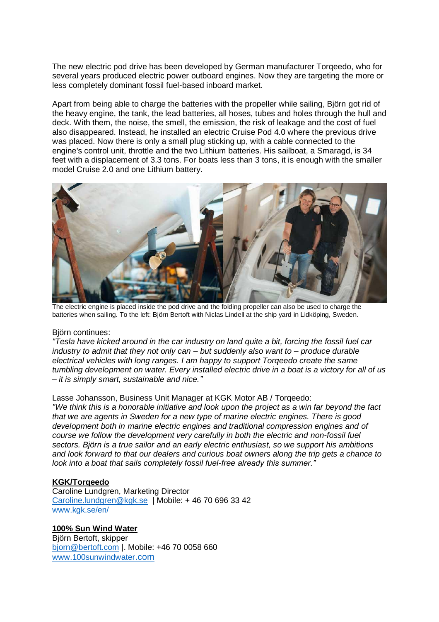The new electric pod drive has been developed by German manufacturer Torqeedo, who for several years produced electric power outboard engines. Now they are targeting the more or less completely dominant fossil fuel-based inboard market.

Apart from being able to charge the batteries with the propeller while sailing, Björn got rid of the heavy engine, the tank, the lead batteries, all hoses, tubes and holes through the hull and deck. With them, the noise, the smell, the emission, the risk of leakage and the cost of fuel also disappeared. Instead, he installed an electric Cruise Pod 4.0 where the previous drive was placed. Now there is only a small plug sticking up, with a cable connected to the engine's control unit, throttle and the two Lithium batteries. His sailboat, a Smaragd, is 34 feet with a displacement of 3.3 tons. For boats less than 3 tons, it is enough with the smaller model Cruise 2.0 and one Lithium battery.



The electric engine is placed inside the pod drive and the folding propeller can also be used to charge the batteries when sailing. To the left: Björn Bertoft with Niclas Lindell at the ship yard in Lidköping, Sweden.

#### Björn continues:

*"Tesla have kicked around in the car industry on land quite a bit, forcing the fossil fuel car industry to admit that they not only can – but suddenly also want to – produce durable electrical vehicles with long ranges. I am happy to support Torqeedo create the same tumbling development on water. Every installed electric drive in a boat is a victory for all of us – it is simply smart, sustainable and nice."*

#### Lasse Johansson, Business Unit Manager at KGK Motor AB / Torqeedo:

*"We think this is a honorable initiative and look upon the project as a win far beyond the fact that we are agents in Sweden for a new type of marine electric engines. There is good development both in marine electric engines and traditional compression engines and of course we follow the development very carefully in both the electric and non-fossil fuel sectors. Björn is a true sailor and an early electric enthusiast, so we support his ambitions and look forward to that our dealers and curious boat owners along the trip gets a chance to look into a boat that sails completely fossil fuel-free already this summer."*

#### **KGK/Torqeedo**

Caroline Lundgren, Marketing Director [Caroline.lundgren@kgk.se](mailto:Caroline.lundgren@kgk.se) | Mobile: + 46 70 696 33 42 [www.kgk.se/en/](http://www.kgk.se/en/)

### **100% Sun Wind Water**

Björn Bertoft, skipper [bjorn@bertoft.com](mailto:bjorn@bertoft.com) |. Mobile: +46 70 0058 660 [www.100sunwindwater](http://www.100sunwindwater.com/).com